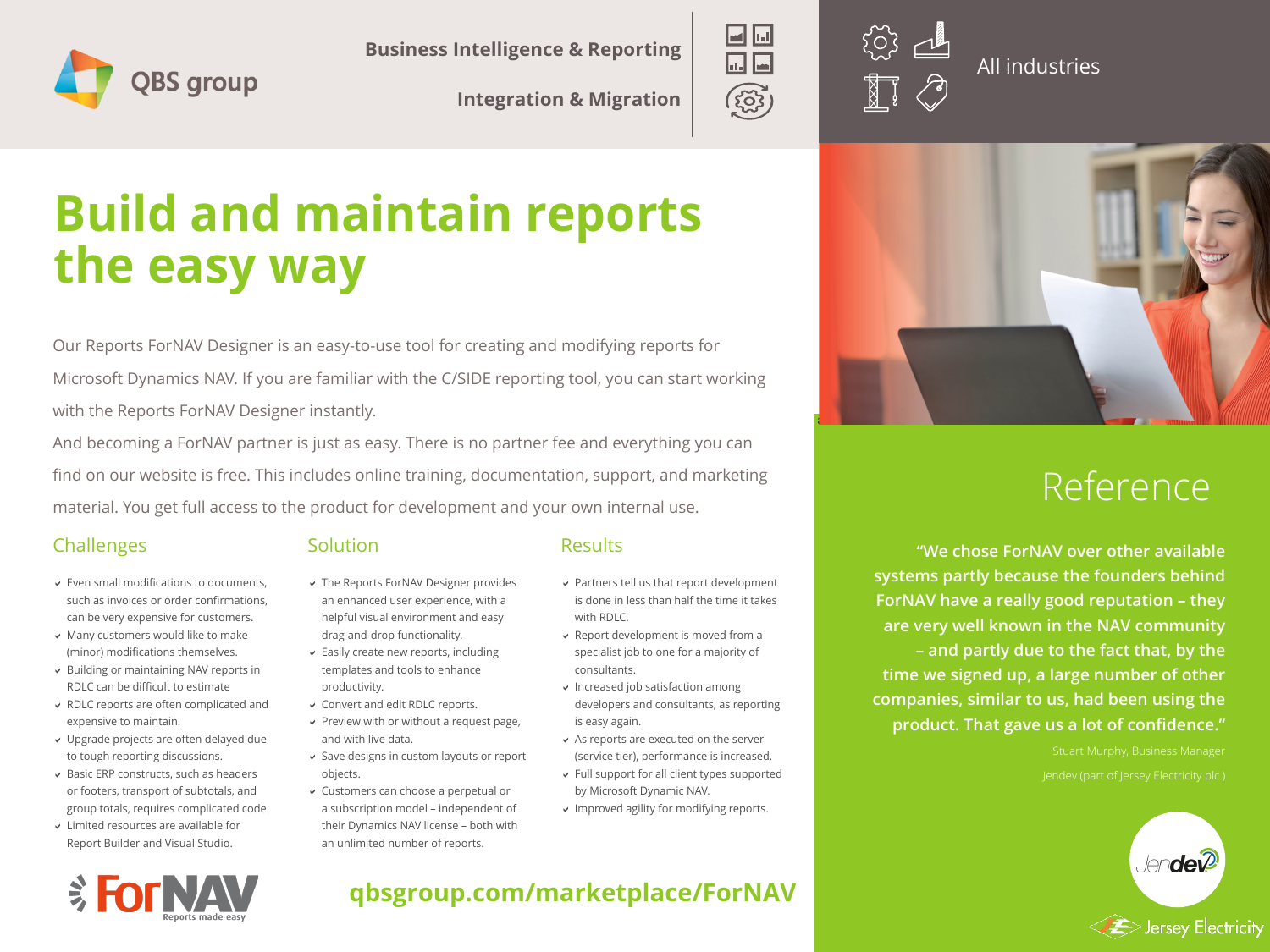

**Business Intelligence & Reporting**<br> **All industries** 

**Integration & Migration**



# **Build and maintain reports the easy way**

Our Reports ForNAV Designer is an easy-to-use tool for creating and modifying reports for Microsoft Dynamics NAV. If you are familiar with the C/SIDE reporting tool, you can start working with the Reports ForNAV Designer instantly.

And becoming a ForNAV partner is just as easy. There is no partner fee and everything you can find on our website is free. This includes online training, documentation, support, and marketing material. You get full access to the product for development and your own internal use.

#### Challenges

- Even small modifications to documents, such as invoices or order confirmations, can be very expensive for customers.
- Many customers would like to make (minor) modifications themselves.
- Building or maintaining NAV reports in RDLC can be difficult to estimate
- RDLC reports are often complicated and expensive to maintain.
- Upgrade projects are often delayed due to tough reporting discussions.
- $\vee$  Basic ERP constructs, such as headers or footers, transport of subtotals, and group totals, requires complicated code.
- Limited resources are available for Report Builder and Visual Studio.

#### **Solution**

#### **Results**

- **v** The Reports ForNAV Designer provides an enhanced user experience, with a helpful visual environment and easy drag-and-drop functionality.
- Easily create new reports, including templates and tools to enhance productivity.
- Convert and edit RDLC reports.
- $\triangleright$  Preview with or without a request page, and with live data.
- Save designs in custom layouts or report objects.
- Customers can choose a perpetual or a subscription model – independent of their Dynamics NAV license – both with an unlimited number of reports.
- Partners tell us that report development is done in less than half the time it takes with RDLC.
- Report development is moved from a specialist job to one for a majority of consultants.
- $\vee$  Increased job satisfaction among developers and consultants, as reporting is easy again.
- As reports are executed on the server (service tier), performance is increased.
- Full support for all client types supported by Microsoft Dynamic NAV.
- **v** Improved agility for modifying reports.



# Reference

**"We chose ForNAV over other available systems partly because the founders behind ForNAV have a really good reputation – they are very well known in the NAV community – and partly due to the fact that, by the time we signed up, a large number of other companies, similar to us, had been using the product. That gave us a lot of confidence."**



### **qbsgroup.com/marketplace/ForNAV**